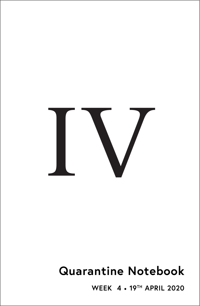

# **Quarantine Notebook**

**WEEK 4** • **19TH APRIL 2020**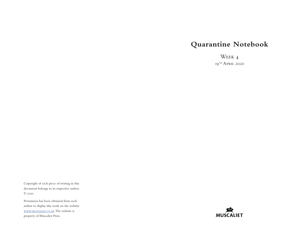## **Quarantine Notebook**

Week 4 19<sup>TH</sup> April 2020

Copyright of each piece of writing in this document belongs to its respective author. © 2020

Permission has been obtained from each author to display this work on the website [www.muscaliet.co.uk.](https://www.muscaliet.co.uk) The website is property of Muscaliet Press.

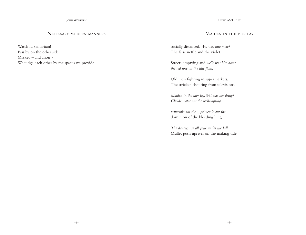John Worthen

## Necessary modern manners

Watch it, Samaritan! Pass by on the other side! Masked – and anon – We judge each other by the spaces we provide

#### CHRIS McCully

## Maiden in the mor lay

socially distanced. *Wat was hire mete?* The false nettle and the violet.

Streets emptying and *welle was hire bour: the red rose an the lilie flour.*

Old men fighting in supermarkets. The stricken shouting from televisions.

*Maiden in the mor lay. Wat was her dring? Chelde water ant the welle-spring,*

*primerole ant the -, primerole ant the*  dominion of the bleeding lung.

*The dancers are all gone under the hill.* Mullet push upriver on the making tide.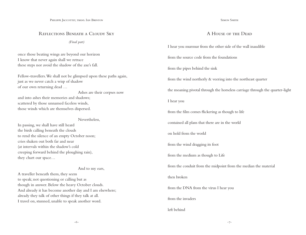## Reflections Beneath a Cloudy Sky

*(Final part)*

once those beating wings are beyond our horizon I know that never again shall we retrace these steps nor avoid the shadow of the axe's fall.

Fellow-travellers. We shall not be glimpsed upon these paths again, just as we never catch a wisp of shadow of our own returning dead …

 Ashes are their corpses now and into ashes their memories and shadows; scattered by those unnamed faceless winds, those winds which are themselves dispersed.

Nevertheless,

In passing, we shall have still heard the birds calling beneath the clouds to rend the silence of an empty October noon; cries shaken out both far and near (at intervals within the shadow's cold creeping forward behind the ploughing rain), they chart our space…

## And to my ears,

A traveller beneath them, they seem to speak; not questioning or calling but as though in answer. Below the heavy October clouds. And already it has become another day and I am elsewhere; already they talk of other things if they talk at all. I travel on, stunned, unable to speak another word.

#### SIMON SMITH

## A House of the Dead

I hear you murmur from the other side of the wall inaudible

from the source code from the foundations

from the pipes behind the sink

from the wind northerly & veering into the northeast quarter

the moaning pivotal through the horseless carriage through the quarter-light

I hear you

from the film comes flickering as though to life

contained all plans that there are in the world

on hold from the world

from the wind dragging its foot

from the medium as though to Life

from the conduit from the midpoint from the median the material

#### then broken

from the DNA from the virus I hear you

from the invaders

## left behind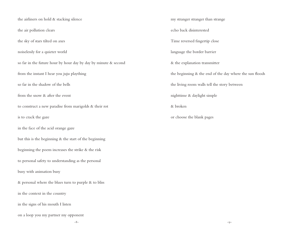the airliners on hold & stacking silence the air pollution clears the sky of stars tilted on axes noiselessly for a quieter world so far in the future hour by hour day by day by minute & second from the instant I hear you juju plaything so far in the shadow of the bells from the snow & after the event to construct a new paradise from marigolds & their rot is to crack the gaze in the face of the acid orange gaze but this is the beginning & the start of the beginning beginning the poem increases the strike & the risk to personal safety to understanding as the personal busy with animation busy  $\&$  personal where the blues turn to purple  $\&$  to bliss in the context in the country in the signs of his mouth I listen on a loop you my partner my opponent

my stranger stranger than strange echo back disinterested Time reversed fingertip close language the border barrier & the explanation transmitter the beginning & the end of the day where the sun floods the living room walls tell the story between nighttime & daylight simple & broken or choose the blank pages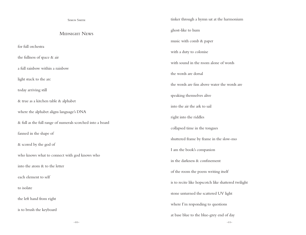| <b>SIMON SMITH</b>                                         | tinker through a hymn sat at the harmonium          |
|------------------------------------------------------------|-----------------------------------------------------|
| <b>MIDNIGHT NEWS</b>                                       | ghost-like to hum                                   |
|                                                            | music with comb & paper                             |
| for full orchestra                                         | with a duty to colonise                             |
| the fullness of space & air                                | with sound in the room alone of words               |
| a full rainbow within a rainbow                            | the words are dorsal                                |
| light stuck to the arc                                     | the words are fins above water the words are        |
| today arriving still                                       | speaking themselves alive                           |
| & true as a kitchen table & alphabet                       |                                                     |
| where the alphabet aligns language's DNA                   | into the air the ark to sail                        |
| & full as the full range of numerals scorched into a board | right into the riddles                              |
| fanned in the shape of                                     | collapsed time in the tongues                       |
| & scored by the god of                                     | shuttered frame by frame in the slow-mo             |
| who knows what to connect with god knows who               | I am the book's companion                           |
| into the atom & to the letter                              | in the darkness & confinement                       |
|                                                            | of the room the poem writing itself                 |
| each element to self                                       | is to recite like hopscotch like shattered twilight |
| to isolate                                                 | stone unturned the scattered UV light               |
| the left hand from right                                   | where I'm responding to questions                   |
| is to brush the keyboard                                   | at base blue to the blue-grey end of day            |
| $-IO-$                                                     | $-I I-$                                             |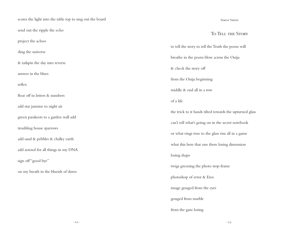| scores the light into the table top to sing out the board |                                                         |
|-----------------------------------------------------------|---------------------------------------------------------|
| send out the ripple the echo                              |                                                         |
| project the achoo                                         | to tell the story to tell the                           |
| ding the universe                                         | breathe in the poem blow                                |
| & tailspin the day into reverse                           | & check the story off                                   |
| answer in the blues<br>reflex                             | from the Ouija beginning                                |
| float off in letters & numbers                            | middle & end all in a row                               |
| add star jasmine to night air                             | of a life                                               |
| green parakeets to a garden wall add                      | the trick to it hands tilted                            |
| troubling house sparrows                                  | can't tell what's going on                              |
| add sand & pebbles & chalky earth                         | or what rings true to the<br>what this here that one th |
| add aerosol for all things in my DNA                      | losing shape                                            |
| sign off"good bye"                                        | twigs greening the photo                                |
| on my breath in the blueish of dawn                       | photoshop of error & Erc                                |
|                                                           | image gouged from the e                                 |
|                                                           | gouged from marble                                      |
|                                                           | from the gaze losing                                    |

SIMON SMITH

## To Tell the Story

e Truth the poem will w across the Ouija from the Ouija beginning d towards the upturned glass in the secret notebook glass rim all in a game here losing dimension stop-frame photoshop of error & Eros eyes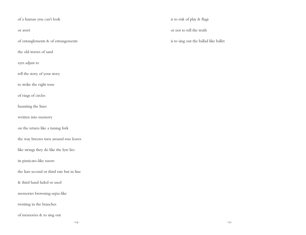## of a human you can't look

or avert

of entanglements & of estrangements

the old stories of sand

eyes adjust to

tell the story of your story

to strike the right tone

of rings of circles

haunting the lines

written into memory

on the return like a tuning fork

the way breezes turn around rose leaves

like strings they do like the lyre lies

its pizzicato-like razors

the liars second or third rate but in line

& third hand faded or used

memories browning sepia-like

twisting in the branches

of memories & to sing out

is to risk of play & flags

or not to tell the truth

is to sing out the ballad like ballet